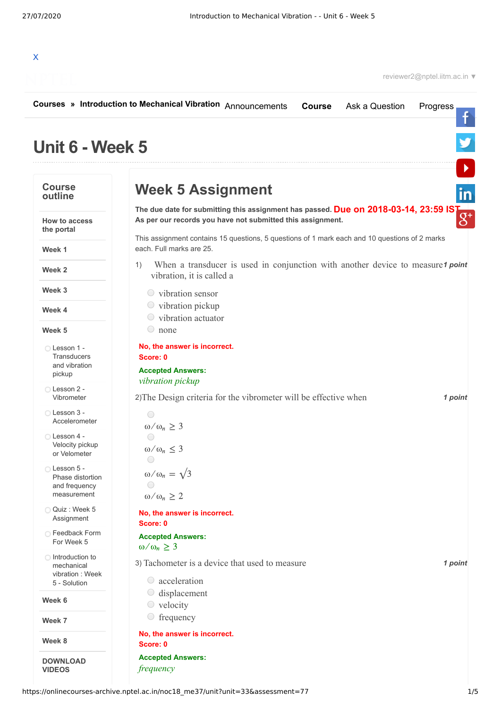

|                                                                | Courses » Introduction to Mechanical Vibration Announcements<br>Ask a Question<br><b>Course</b><br>Progress                                        |
|----------------------------------------------------------------|----------------------------------------------------------------------------------------------------------------------------------------------------|
| Unit 6 - Week 5                                                |                                                                                                                                                    |
| <b>Course</b><br>outline                                       | <b>Week 5 Assignment</b>                                                                                                                           |
| <b>How to access</b><br>the portal                             | The due date for submitting this assignment has passed. Due on 2018-03-14, 23:59 IST<br>As per our records you have not submitted this assignment. |
| Week 1                                                         | This assignment contains 15 questions, 5 questions of 1 mark each and 10 questions of 2 marks<br>each. Full marks are 25.                          |
| Week 2                                                         | When a transducer is used in conjunction with another device to measure1 point<br>1)<br>vibration, it is called a                                  |
| Week 3                                                         | $\circ$ vibration sensor                                                                                                                           |
| Week 4                                                         | $\circ$ vibration pickup<br>$\circ$ vibration actuator                                                                                             |
| Week 5                                                         | $\circ$ none                                                                                                                                       |
| ◯ Lesson 1 -<br><b>Transducers</b><br>and vibration<br>pickup  | No, the answer is incorrect.<br>Score: 0<br><b>Accepted Answers:</b>                                                                               |
| Lesson 2 -<br>Vibrometer                                       | vibration pickup<br>2) The Design criteria for the vibrometer will be effective when<br>1 point                                                    |
| ◯ Lesson 3 -<br>Accelerometer                                  | $\bigcirc$<br>$\omega/\omega_n \geq 3$                                                                                                             |
| ◯ Lesson 4 -<br>Velocity pickup<br>or Velometer                | $\omega/\omega_n \leq 3$                                                                                                                           |
| Lesson 5 -<br>Phase distortion<br>and frequency<br>measurement | $\omega/\omega_n = \sqrt{3}$<br>$\left(\begin{array}{c}\right)$<br>$\omega/\omega_n \geq 2$                                                        |
| Quiz: Week 5<br>Assignment                                     | No, the answer is incorrect.<br>Score: 0                                                                                                           |
| ◯ Feedback Form<br>For Week 5                                  | <b>Accepted Answers:</b><br>$\omega/\omega_n \geq 3$                                                                                               |
| ◯ Introduction to<br>mechanical                                | 3) Tachometer is a device that used to measure<br>1 point                                                                                          |
| vibration: Week<br>5 - Solution                                | $\circ$ acceleration                                                                                                                               |
| Week 6                                                         | displacement<br>velocity<br>$\cup$                                                                                                                 |
| Week 7                                                         | frequency                                                                                                                                          |
| Week 8                                                         | No, the answer is incorrect.<br>Score: 0                                                                                                           |
| <b>DOWNLOAD</b><br><b>VIDEOS</b>                               | <b>Accepted Answers:</b><br>frequency                                                                                                              |

https://onlinecourses-archive.nptel.ac.in/noc18\_me37/unit?unit=33&assessment=77 1/5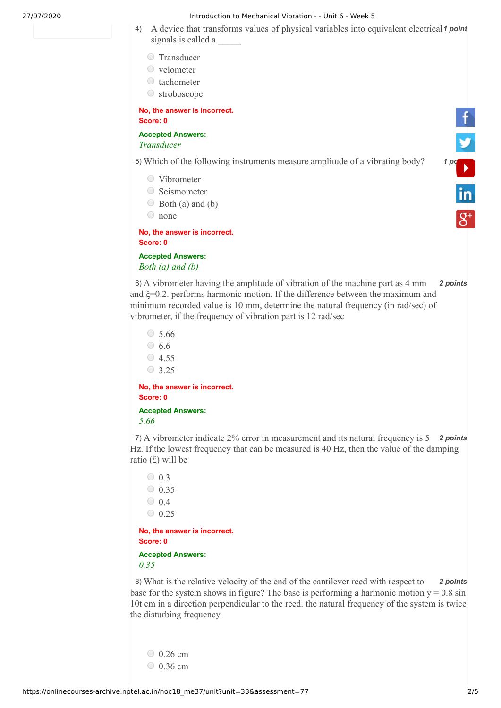## 27/07/2020 Introduction to Mechanical Vibration - - Unit 6 - Week 5

- 4) A device that transforms values of physical variables into equivalent electrical<sup>1</sup> point signals is called a
	- O Transducer
	- velometer
	- $\circ$  tachometer
	- stroboscope

**No, the answer is incorrect. Score: 0**

**Accepted Answers:** *Transducer* 

5) Which of the following instruments measure amplitude of a vibrating body? 1 po

- Vibrometer
- Seismometer
- $\bigcirc$  Both (a) and (b)
- none

**No, the answer is incorrect. Score: 0**

**Accepted Answers:** *Both (a) and (b)* 

6) *2 points* A vibrometer having the amplitude of vibration of the machine part as 4 mm and ξ=0.2. performs harmonic motion. If the difference between the maximum and minimum recorded value is 10 mm, determine the natural frequency (in rad/sec) of vibrometer, if the frequency of vibration part is 12 rad/sec

5.66  $\circ$  6.6  $\circ$  4.55  $\circ$  3.25

**No, the answer is incorrect. Score: 0**

**Accepted Answers:** *5.66* 

7) A vibrometer indicate 2% error in measurement and its natural frequency is 5 **2 points** Hz. If the lowest frequency that can be measured is 40 Hz, then the value of the damping ratio (ξ) will be

 $\bigcirc$  0.3  $\circ$  0.35  $\bigcirc$  0.4  $\circ$  0.25

**No, the answer is incorrect. Score: 0**

## **Accepted Answers:** *0.35*

8) What is the relative velocity of the end of the cantilever reed with respect to **2 points** base for the system shows in figure? The base is performing a harmonic motion  $y = 0.8 \sin x$ 10t cm in a direction perpendicular to the reed. the natural frequency of the system is twice the disturbing frequency.

 $\degree$  0.26 cm  $\circ$  0.36 cm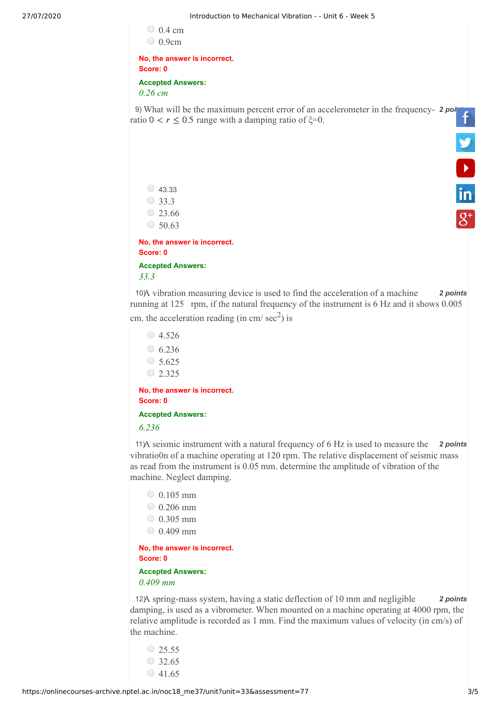$\degree$  0.4 cm 0.9cm

**No, the answer is incorrect. Score: 0 Accepted Answers:** *0.26 cm*

9) What will be the maximum percent error of an accelerometer in the frequency- 2 poi ratio  $0 < r \le 0.5$  range with a damping ratio of  $\xi = 0$ .

 $\circ$  43.33  $\bigcirc$  33.3  $23.66$  $\circ$  50.63

**No, the answer is incorrect. Score: 0 Accepted Answers:** *33.3*

10) A vibration measuring device is used to find the acceleration of a machine 2 points running at 125 rpm, if the natural frequency of the instrument is 6 Hz and it shows 0.005

cm. the acceleration reading (in cm/ $\sec^2$ ) is

```
\circ 4.526
\circ 6.236
\circ 5.625
0.2.325
```
**No, the answer is incorrect. Score: 0**

**Accepted Answers:**

*6.236* 

11) A seismic instrument with a natural frequency of 6 Hz is used to measure the 2 points vibratio0n of a machine operating at 120 rpm. The relative displacement of seismic mass as read from the instrument is 0.05 mm. determine the amplitude of vibration of the machine. Neglect damping.

 $0.105$  mm  $\degree$  0.206 mm  $0.305$  mm  $0.409$  mm

**No, the answer is incorrect. Score: 0**

**Accepted Answers:** *0.409 mm*

12) 12) **2** *points* **2** *points* damping, is used as a vibrometer. When mounted on a machine operating at 4000 rpm, the relative amplitude is recorded as 1 mm. Find the maximum values of velocity (in cm/s) of the machine.

 $\circ$  25.55  $\circ$  32.65  $\circ$  41.65 **V**<br>in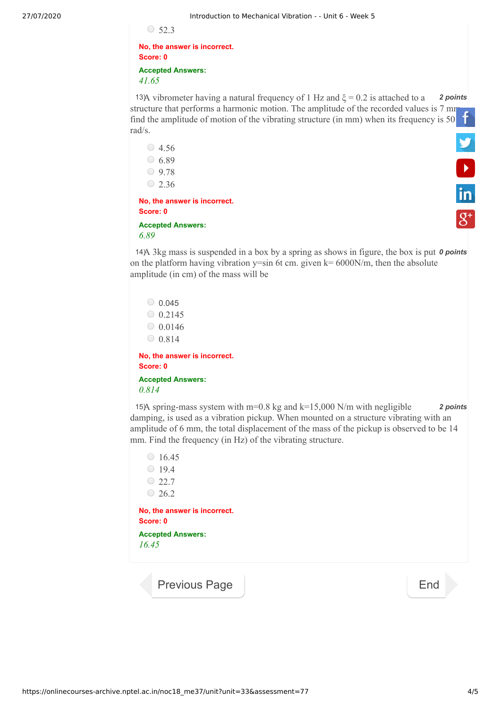$\circ$  52.3

**No, the answer is incorrect. Score: 0 Accepted Answers:** *41.65*

13) **13)** *A* vibrometer having a natural frequency of 1 Hz and  $\xi = 0.2$  is attached to a **2 points** structure that performs a harmonic motion. The amplitude of the recorded values is 7 [mm](https://www.facebook.com/NPTELNoc/) find the amplitude of motion of the vibrating structure (in mm) when its frequency is 50 rad/s. **V**<br>in

 $\circ$  4.56  $6.89$  $\bigcirc$  9.78  $\circ$  2.36 **No, the answer is incorrect. Score: 0**

## **Accepted Answers:** *6.89*

14) A 3kg mass is suspended in a box by a spring as shows in figure, the box is put **0 points** on the platform having vibration  $y=sin$  6t cm. given  $k=6000N/m$ , then the absolute amplitude (in cm) of the mass will be

 $0.045$  $0.2145$  $0.0146$  $0.814$ **No, the answer is incorrect. Score: 0**

**Accepted Answers:** *0.814*

15) *2 points* A spring-mass system with m=0.8 kg and k=15,000 N/m with negligible damping, is used as a vibration pickup. When mounted on a structure vibrating with an amplitude of 6 mm, the total displacement of the mass of the pickup is observed to be 14 mm. Find the frequency (in Hz) of the vibrating structure.

 $\circ$  16.45  $0.19.4$  $\bigcirc$  22.7  $0.26.2$ **No, the answer is incorrect. Score: 0 Accepted Answers:** *16.45* 

[Previous Page](https://onlinecourses-archive.nptel.ac.in/noc18_me37/unit?unit=33&lesson=114) [End](https://onlinecourses-archive.nptel.ac.in/noc18_me37/course)